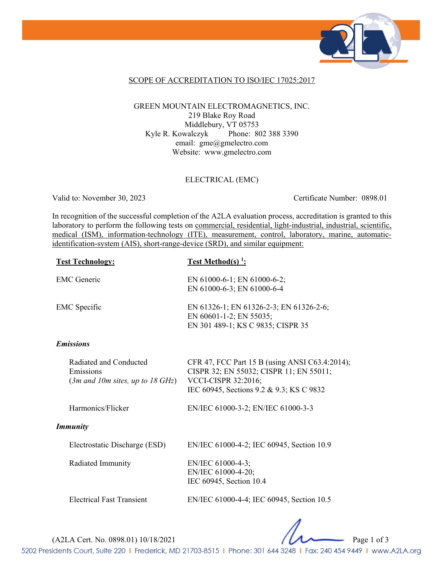

### SCOPE OF ACCREDITATION TO ISO/IEC 17025:2017

#### GREEN MOUNTAIN ELECTROMAGNETICS, INC. 219 Blake Roy Road Middlebury, VT 05753 Kyle R. Kowalczyk Phone: 802 388 3390 email: gme@gmelectro.com Website: www.gmelectro.com

#### ELECTRICAL (EMC)

Valid to: November 30, 2023 Certificate Number: 0898.01

In recognition of the successful completion of the A2LA evaluation process, accreditation is granted to this laboratory to perform the following tests on commercial, residential, light-industrial, industrial, scientific, medical (ISM), information-technology (ITE), measurement, control, laboratory, marine, automaticidentification-system (AIS), short-range-device (SRD), and similar equipment:

| <b>Test Technology:</b>                                                                            | <u>Test Method(s)<sup>1</sup></u> :                                                                                                                                 |
|----------------------------------------------------------------------------------------------------|---------------------------------------------------------------------------------------------------------------------------------------------------------------------|
| <b>EMC</b> Generic                                                                                 | EN 61000-6-1; EN 61000-6-2;<br>EN 61000-6-3; EN 61000-6-4                                                                                                           |
| <b>EMC</b> Specific                                                                                | EN 61326-1; EN 61326-2-3; EN 61326-2-6;<br>EN 60601-1-2; EN 55035;<br>EN 301 489-1; KS C 9835; CISPR 35                                                             |
| <b>Emissions</b>                                                                                   |                                                                                                                                                                     |
| Radiated and Conducted<br>Emissions<br>$(3m \text{ and } 10m \text{ sites}, up to 18 \text{ GHz})$ | CFR 47, FCC Part 15 B (using ANSI C63.4:2014);<br>CISPR 32; EN 55032; CISPR 11; EN 55011;<br><b>VCCI-CISPR 32:2016;</b><br>IEC 60945, Sections 9.2 & 9.3; KS C 9832 |
| Harmonics/Flicker                                                                                  | EN/IEC 61000-3-2; EN/IEC 61000-3-3                                                                                                                                  |
| <b>Immunity</b>                                                                                    |                                                                                                                                                                     |
| Electrostatic Discharge (ESD)                                                                      | EN/IEC 61000-4-2; IEC 60945, Section 10.9                                                                                                                           |
| Radiated Immunity                                                                                  | EN/IEC 61000-4-3;<br>EN/IEC 61000-4-20;<br>IEC 60945, Section 10.4                                                                                                  |
| <b>Electrical Fast Transient</b>                                                                   | EN/IEC 61000-4-4; IEC 60945, Section 10.5                                                                                                                           |

(A2LA Cert. No. 0898.01) 10/18/2021 Page 1 of 3

5202 Presidents Court, Suite 220 | Frederick, MD 21703-8515 | Phone: 301 644 3248 | Fax: 240 454 9449 | www.A2LA.org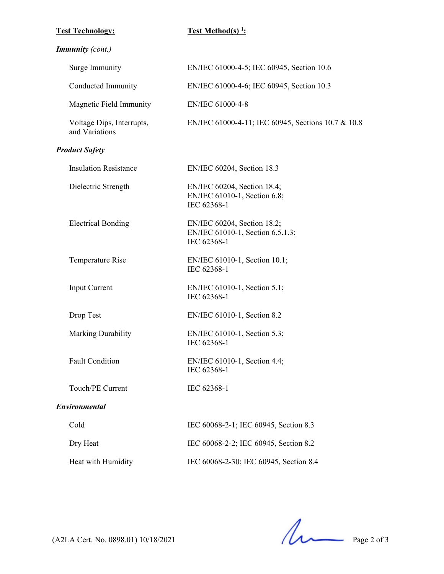### $Test Technology:$

# **Test Method(s)<sup>1</sup>:**

# *Immunity (cont.)*

| Surge Immunity                              | EN/IEC 61000-4-5; IEC 60945, Section 10.6                                      |
|---------------------------------------------|--------------------------------------------------------------------------------|
| Conducted Immunity                          | EN/IEC 61000-4-6; IEC 60945, Section 10.3                                      |
| Magnetic Field Immunity                     | EN/IEC 61000-4-8                                                               |
| Voltage Dips, Interrupts,<br>and Variations | EN/IEC 61000-4-11; IEC 60945, Sections 10.7 & 10.8                             |
| <b>Product Safety</b>                       |                                                                                |
| <b>Insulation Resistance</b>                | EN/IEC 60204, Section 18.3                                                     |
| Dielectric Strength                         | EN/IEC 60204, Section 18.4;<br>EN/IEC 61010-1, Section 6.8;<br>IEC 62368-1     |
| <b>Electrical Bonding</b>                   | EN/IEC 60204, Section 18.2;<br>EN/IEC 61010-1, Section 6.5.1.3;<br>IEC 62368-1 |
| Temperature Rise                            | EN/IEC 61010-1, Section 10.1;<br>IEC 62368-1                                   |
| Input Current                               | EN/IEC 61010-1, Section 5.1;<br>IEC 62368-1                                    |
| Drop Test                                   | EN/IEC 61010-1, Section 8.2                                                    |
| Marking Durability                          | EN/IEC 61010-1, Section 5.3;<br>IEC 62368-1                                    |
| <b>Fault Condition</b>                      | EN/IEC 61010-1, Section 4.4;<br>IEC 62368-1                                    |
| Touch/PE Current                            | IEC 62368-1                                                                    |
| Environmental                               |                                                                                |
| Cold                                        | IEC 60068-2-1; IEC 60945, Section 8.3                                          |
| Dry Heat                                    | IEC 60068-2-2; IEC 60945, Section 8.2                                          |
| Heat with Humidity                          | IEC 60068-2-30; IEC 60945, Section 8.4                                         |

 $($ A2LA Cert. No. 0898.01) 10/18/2021 Page 2 of 3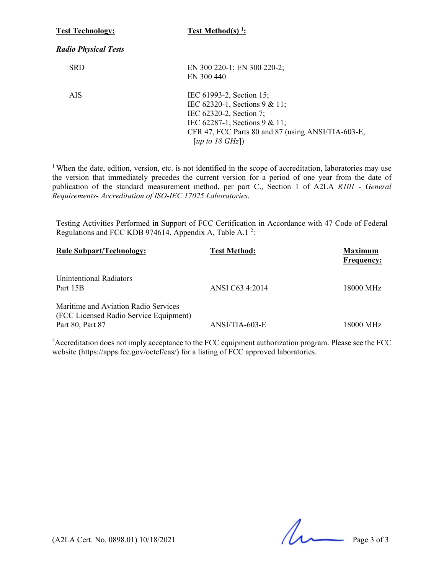| <b>Test Technology:</b>     | Test Method(s) $1$ :                                                                                                                                                                              |
|-----------------------------|---------------------------------------------------------------------------------------------------------------------------------------------------------------------------------------------------|
| <b>Radio Physical Tests</b> |                                                                                                                                                                                                   |
| <b>SRD</b>                  | EN 300 220-1; EN 300 220-2;<br>EN 300 440                                                                                                                                                         |
| <b>AIS</b>                  | IEC 61993-2, Section 15;<br>IEC 62320-1, Sections 9 & 11;<br>IEC 62320-2, Section 7;<br>IEC 62287-1, Sections 9 & 11;<br>CFR 47, FCC Parts 80 and 87 (using ANSI/TIA-603-E,<br>[up to 18 $GHz$ ]) |

<sup>1</sup> When the date, edition, version, etc. is not identified in the scope of accreditation, laboratories may use the version that immediately precedes the current version for a period of one year from the date of publication of the standard measurement method, per part C., Section 1 of A2LA *R101 - General Requirements- Accreditation of ISO-IEC 17025 Laboratories*.

Testing Activities Performed in Support of FCC Certification in Accordance with 47 Code of Federal Regulations and FCC KDB 974614, Appendix A, Table A.1<sup>2</sup>:

| <b>Rule Subpart/Technology:</b>                                                                    | <b>Test Method:</b> | <b>Maximum</b><br><b>Frequency:</b> |
|----------------------------------------------------------------------------------------------------|---------------------|-------------------------------------|
| Unintentional Radiators<br>Part 15B                                                                | ANSI C63.4:2014     | 18000 MHz                           |
| Maritime and Aviation Radio Services<br>(FCC Licensed Radio Service Equipment)<br>Part 80, Part 87 | $ANSI/TIA-603-E$    | 18000 MHz                           |

<sup>2</sup> Accreditation does not imply acceptance to the FCC equipment authorization program. Please see the FCC website (https://apps.fcc.gov/oetcf/eas/) for a listing of FCC approved laboratories.

 $(A2LA$  Cert. No. 0898.01) 10/18/2021